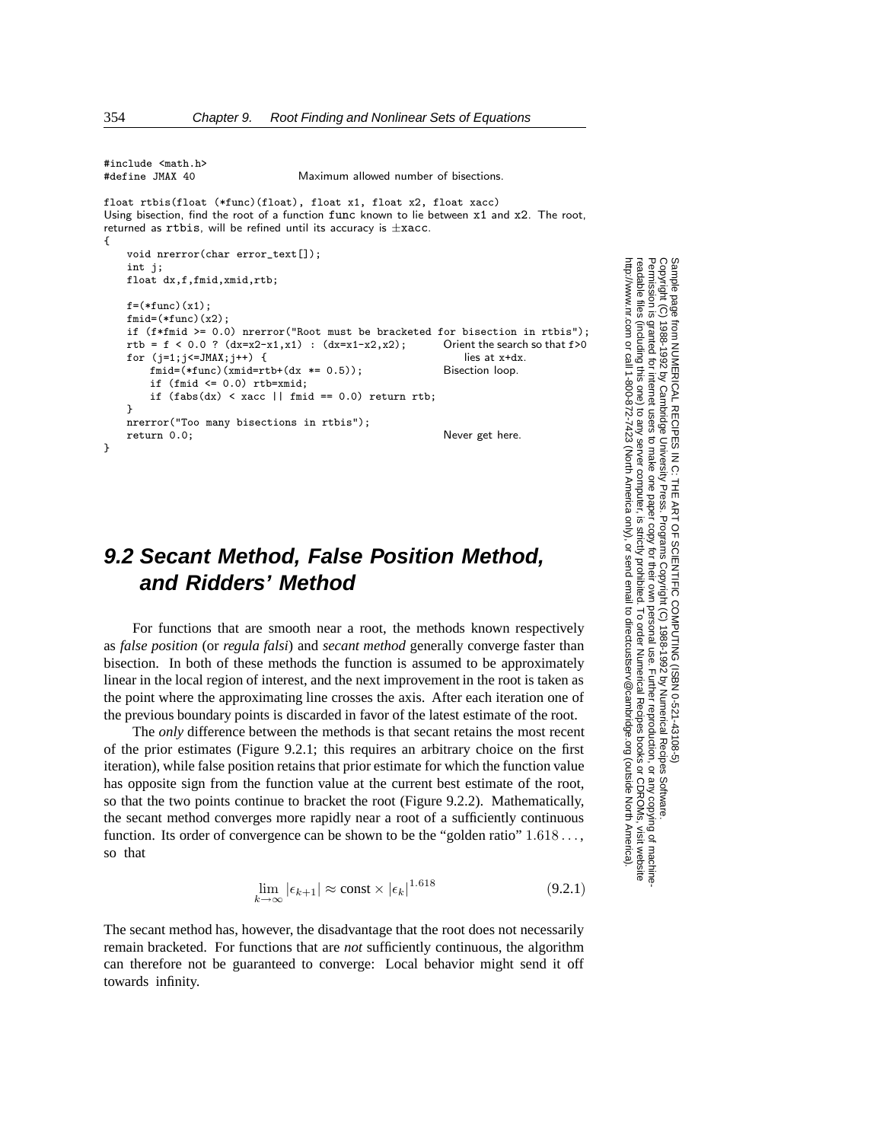```
#include <math.h><br>#define JMAX 40
```
Maximum allowed number of bisections.

float rtbis(float (\*func)(float), float x1, float x2, float xacc) Using bisection, find the root of a function func known to lie between x1 and x2. The root, returned as rtbis, will be refined until its accuracy is *<sup>±</sup>*xacc. {

```
void nrerror(char error_text[]);
int j;
float dx,f,fmid,xmid,rtb;
```

```
f=(*func)(x1):
find=(*func)(x2);if (f*fmid >= 0.0) nrerror("Root must be bracketed for bisection in rtbis");<br>rtb = f < 0.0 ? (dx=x2-x1,x1) : (dx=x1-x2,x2); Orient the search so that f>0
rtb = f < 0.0 ? (dx=x1-x1) : (dx=x1-x2,x2); Orient the search for (j=1;j\le JMAX;j+i+) { lies at x+dx.
for (j=1;j\leq JMAX;j++) {<br>fmid=(*func)(xmid=rth+(dx *= 0.5)): Bisection loop
    find=(*func)(xmid=rtb+(dx *= 0.5));if (fmid \leq 0.0) rtb=xmid;
    if (fabs(dx) < xacc || find == 0.0) return rtb;}
nrerror("Too many bisections in rtbis");
return 0.0; Never get here.
```

```
9.2 Secant Method, False Position Method,
   and Ridders' Method
```
For functions that are smooth near a root, the methods known respectively as *false position* (or *regula falsi*) and *secant method* generally converge faster than bisection. In both of these methods the function is assumed to be approximately linear in the local region of interest, and the next improvement in the root is taken as the point where the approximating line crosses the axis. After each iteration one of the previous boundary points is discarded in favor of the latest estimate of the root.

The *only* difference between the methods is that secant retains the most recent of the prior estimates (Figure 9.2.1; this requires an arbitrary choice on the first iteration), while false position retains that prior estimate for which the function value has opposite sign from the function value at the current best estimate of the root, so that the two points continue to bracket the root (Figure 9.2.2). Mathematically, the secant method converges more rapidly near a root of a sufficiently continuous function. Its order of convergence can be shown to be the "golden ratio"  $1.618...$ , so that

$$
\lim_{k \to \infty} |\epsilon_{k+1}| \approx \text{const} \times |\epsilon_k|^{1.618} \tag{9.2.1}
$$

The secant method has, however, the disadvantage that the root does not necessarily remain bracketed. For functions that are *not* sufficiently continuous, the algorithm can therefore not be guaranteed to converge: Local behavior might send it off towards infinity.

Permission is granted for internet users to make one paper copy for their own personal use. Further reproduction, or any copyin Copyright (C) 1988-1992 by Cambridge University Press.Programs Copyright (C) 1988-1992 by Numerical Recipes Software. Sample page from NUMERICAL RECIPES IN C: THE ART OF SCIENTIFIC COMPUTING (ISBN 0-521-43108-5) g of machinereadable files (including this one) to any servercomputer, is strictly prohibited. To order Numerical Recipes booksor CDROMs, visit website http://www.nr.com or call 1-800-872-7423 (North America only),or send email to directcustserv@cambridge.org (outside North America).

}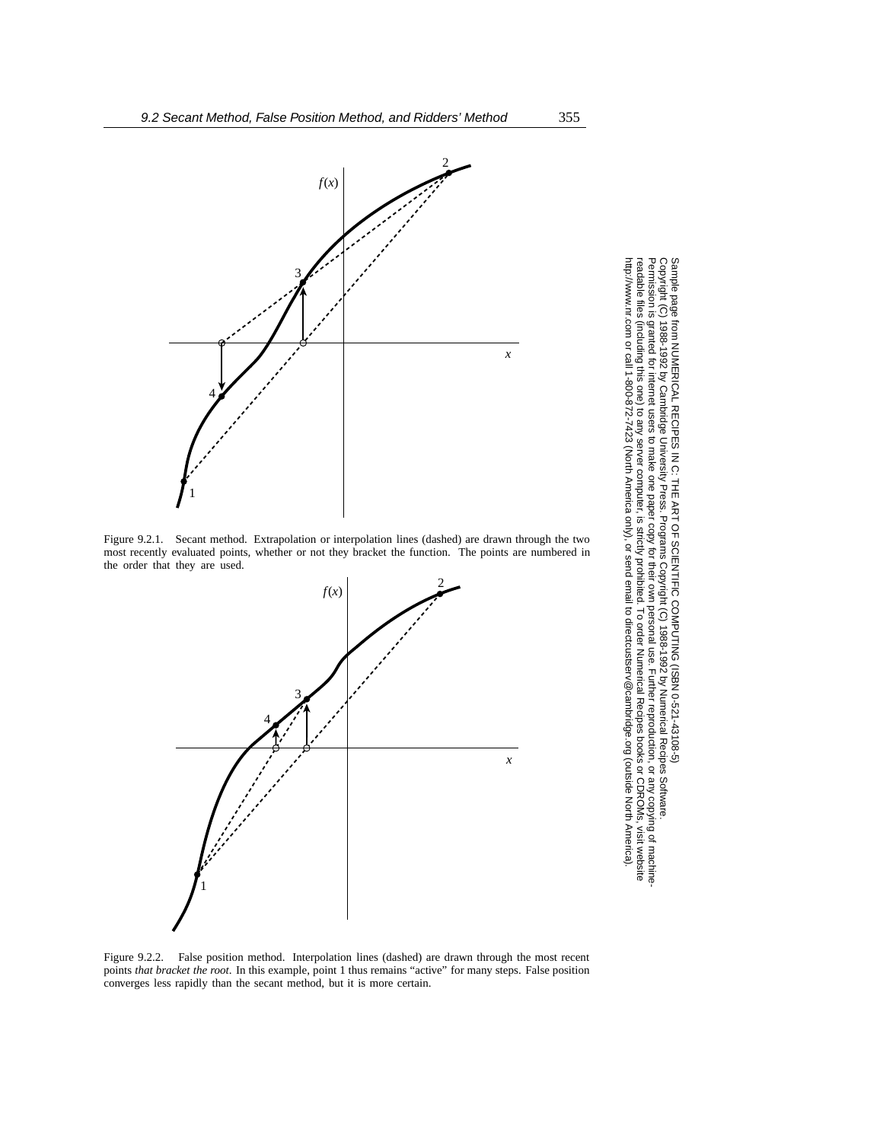

Figure 9.2.1. Secant method. Extrapolation or interpolation lines (dashed) are drawn through the two most recently evaluated points, whether or not they bracket the function. The points are numbered in the order that they are used.



Permission is granted for internet users to make one paper copy for their own personal use. Further reproduction, or any copyin Copyright (C) 1988-1992 by Cambridge University Press.Programs Copyright (C) 1988-1992 by Numerical Recipes Software. Sample page from NUMERICAL RECIPES IN C: THE ART OF SCIENTIFIC COMPUTING (ISBN 0-521-43108-5) g of machinereadable files (including this one) to any servercomputer, is strictly prohibited. To order Numerical Recipes booksor CDROMs, visit website http://www.nr.com or call 1-800-872-7423 (North America only),or send email to directcustserv@cambridge.org (outside North America).

Figure 9.2.2. False position method. Interpolation lines (dashed) are drawn through the most recent points *that bracket the root*. In this example, point 1 thus remains "active" for many steps. False position converges less rapidly than the secant method, but it is more certain.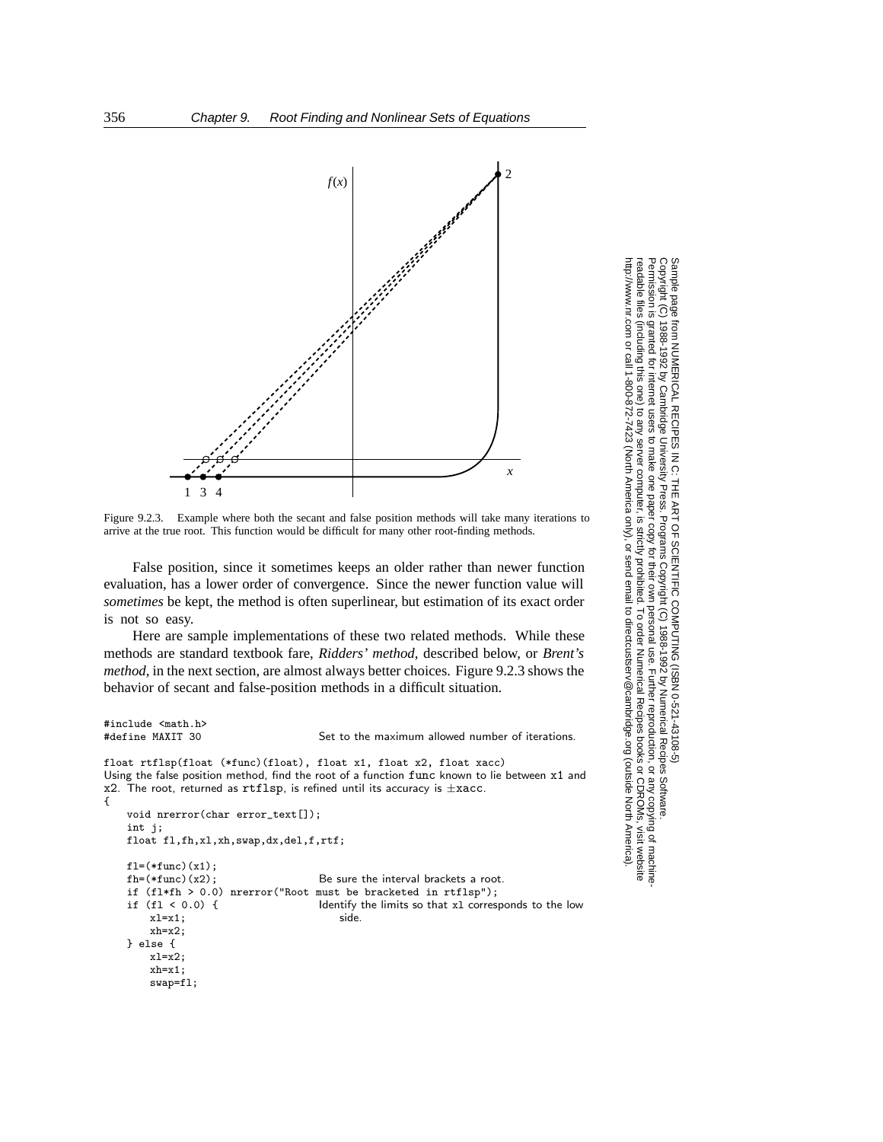

Figure 9.2.3. Example where both the secant and false position methods will take many iterations to arrive at the true root. This function would be difficult for many other root-finding methods.

False position, since it sometimes keeps an older rather than newer function evaluation, has a lower order of convergence. Since the newer function value will *sometimes* be kept, the method is often superlinear, but estimation of its exact order is not so easy.

Here are sample implementations of these two related methods. While these methods are standard textbook fare, *Ridders' method*, described below, or *Brent's method*, in the next section, are almost always better choices. Figure 9.2.3 shows the behavior of secant and false-position methods in a difficult situation.

```
#include <math.h>
```
xh=x1; swap=fl; Set to the maximum allowed number of iterations.

```
float rtflsp(float (*func)(float), float x1, float x2, float xacc)
Using the false position method, find the root of a function func known to lie between x1 and
x2. The root, returned as rtflsp, is refined until its accuracy is ±xacc.
{
     void nrerror(char error_text[]);
     int j;
    float fl,fh,xl,xh,swap,dx,del,f,rtf;
    f1=(*func)(x1);<br>fh=(*func)(x2);Be sure the interval brackets a root.
    if (f1*fh > 0.0) nrerror("Root must be bracketed in rtflsp");<br>if (f1 < 0.0) { ldentify the limits so that x1 corres
                                             Identify the limits so that x1 corresponds to the low side.
         x1=x1;
         xh=x2;
     } else {
         x1=x2:
```
Copyright (C) 1988-1992 by Cambridge University Press.Sample page from NUMERICAL RECIPES IN C: THE ART OF SCIENTIFIC COMPUTING (ISBN 0-521-43108-5) http://www.nr.com or call 1-800-872-7423 (North America only),readable files (including this one) to any serverPermission is granted for internet users to make one paper copy for their own personal use. Further reproduction, or any copyin http://www.nr.com or call 1-800-872-7423 (North America only), or send email to directcustserv@cambridge.org (outside North America). eadable files Permission is -rhenycot ped ardue  $\widehat{\Omega}$ computer, is strictly prohibited. To order Numerical Recipes booksPrograms Copyright (C) 1988-1992 by Numerical Recipes Software. or send email to directcustserv@cambridge.org (outside North America). or CDROMs, visit website g of machine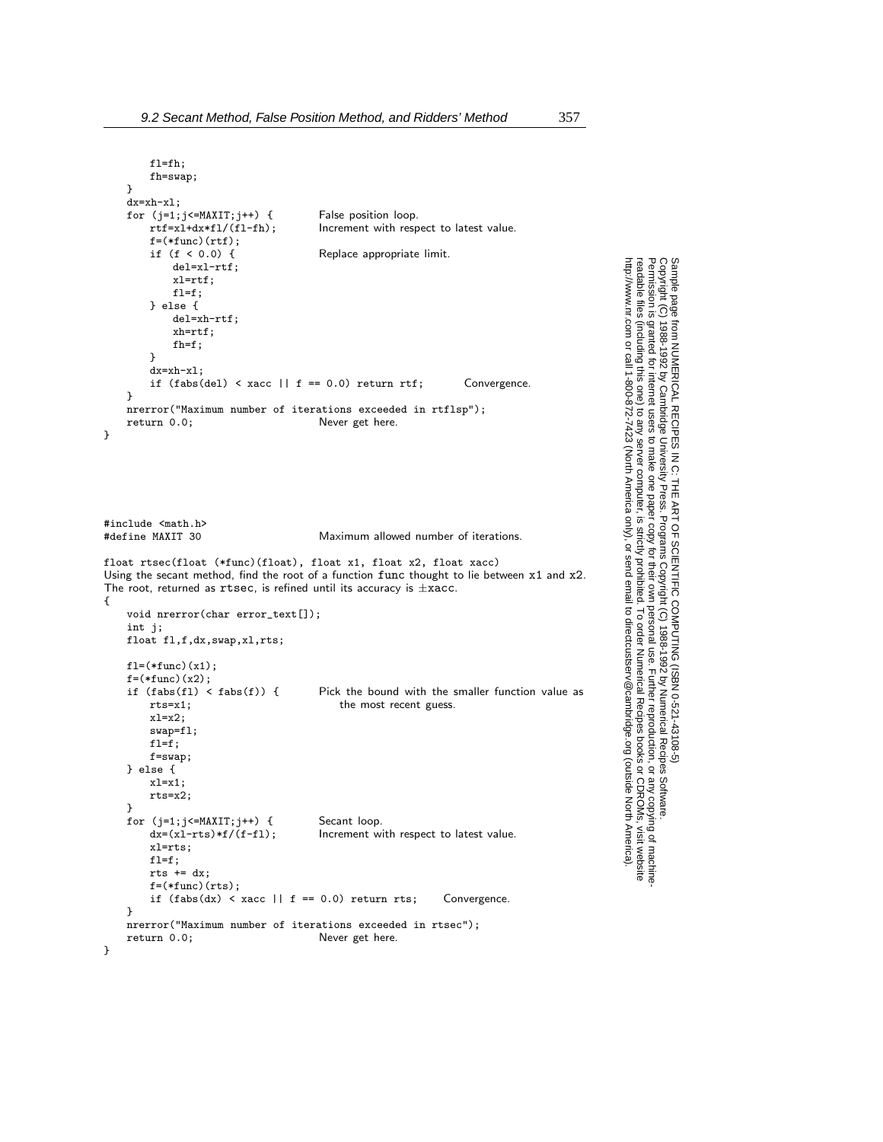fl=fh; fh=swap;

 $f=(*func)(rtf);$ <br>if  $(f < 0.0)$  {

dx=xh-xl;

}

```
Permission is granted for internet users to make one paper copy for their own personal use. Further reproduction, or any copyin
                                                                                                                                                                                                                                                                                                                                                                                                                                                                                                                                         Copyright (C) 1988-1992 by Cambridge University Press.Programs Copyright (C) 1988-1992 by Numerical Recipes Software. 
                                                                                                                                                                                                                                                                                                                                                                                                                                                                                                                              g of machine-
                                                                                                                                                                                                                                                                                                                                                                                                                                                                                                                   readable files (including this one) to any servercomputer, is strictly prohibited. To order Numerical Recipes booksor CDROMs, visit website
                                                                                                                                                                                                                                                                                                                                                                                                                                                                                                        http://www.nr.com or call 1-800-872-7423 (North America only),or send email to directcustserv@cambridge.org (outside North America).
for (j=1;j\leq MAXIT;j++) {<br>false position loop.<br>rtf=x1+dx*f1/(f1-fh); lncrement with resp
                                                                                                                                                                                           Increment with respect to latest value.
                                                                                                                                                                                            Replace appropriate limit.
```
Sample page from NUMERICAL RECIPES IN C: THE ART OF SCIENTIFIC COMPUTING (ISBN 0-521-43108-5)

```
del=xl-rtf;
            xl=rtf;
            fl=f;
        } else {
            del=xh-rtf;
            xh=rtf;
            fh=f;
        }
        dx= xh-x1:
        if (fabs(de1) < xacc || f == 0.0) return rtf; Convergence.
    }
    nrerror("Maximum number of iterations exceeded in rtflsp");
    return 0.0; Never get here.
}
#include <math.h>
                                        Maximum allowed number of iterations.
float rtsec(float (*func)(float), float x1, float x2, float xacc)
Using the secant method, find the root of a function func thought to lie between x1 and x2.
The root, returned as rtsec, is refined until its accuracy is ±xacc.
{
    void nrerror(char error_text[]);
    int j;
    float fl,f,dx,swap,xl,rts;
    f1=(*func)(x1);f=(*func)(x2);<br>if (fabs(fl) < fabs(f)) {
        (fabs(f1) < fabs(f)) { Pick the bound with the smaller function value as rts=x1; the most recent guess.
                                            the most recent guess.
        x1=x2;
        swap=fl;
        f1=f:
        f=swap;
    } else {
        x1=x1:
        rts=x2;
    }
    for (j=1;j\leq MAXIT;j++) { Secant loop.<br>dx=(x1-rts)*f/(f-f1); Increment w
                                        Increment with respect to latest value.
        xl=rts;
        fl=f;
        rts += dx;f=(\ast func)(rts) ;
        if (fabs(dx) < xacc || f == 0.0) return rts; Convergence.
    }
    nrerror("Maximum number of iterations exceeded in rtsec");<br>return 0.0;<br>Never get here.
                                       Never get here.
```
}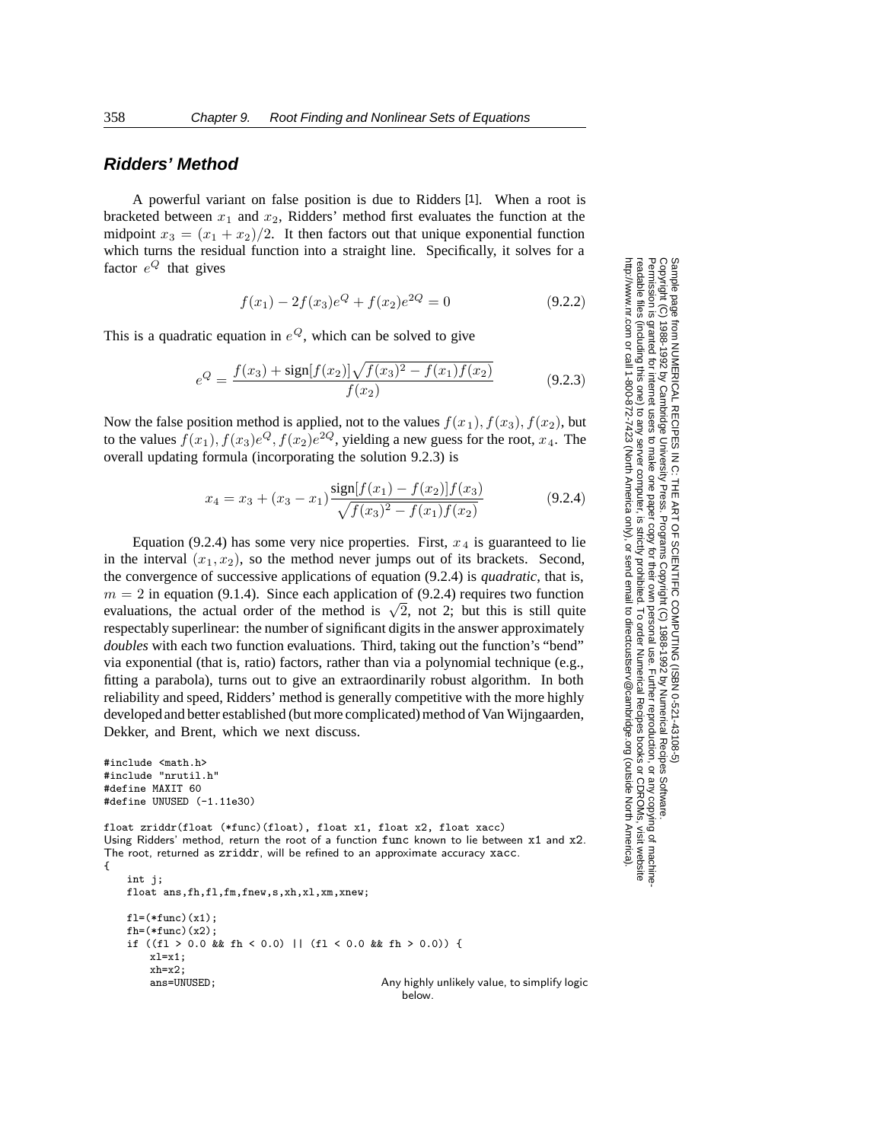## **Ridders' Method**

A powerful variant on false position is due to Ridders [1]. When a root is bracketed between  $x_1$  and  $x_2$ , Ridders' method first evaluates the function at the midpoint  $x_3 = (x_1 + x_2)/2$ . It then factors out that unique exponential function which turns the residual function into a straight line. Specifically, it solves for a factor  $e^{Q}$  that gives

$$
f(x_1) - 2f(x_3)e^{Q} + f(x_2)e^{2Q} = 0
$$
\n(9.2.2)

This is a quadratic equation in  $e^{Q}$ , which can be solved to give

$$
e^{Q} = \frac{f(x_3) + \text{sign}[f(x_2)]\sqrt{f(x_3)^2 - f(x_1)f(x_2)}}{f(x_2)}
$$
(9.2.3)

Now the false position method is applied, not to the values  $f(x_1)$ ,  $f(x_3)$ ,  $f(x_2)$ , but to the values  $f(x_1)$ ,  $f(x_3)e^Q$ ,  $f(x_2)e^{2Q}$ , yielding a new guess for the root,  $x_4$ . The overall updating formula (incorporating the solution 9.2.3) is

$$
x_4 = x_3 + (x_3 - x_1) \frac{\sin[f(x_1) - f(x_2)]f(x_3)}{\sqrt{f(x_3)^2 - f(x_1)f(x_2)}}\tag{9.2.4}
$$

Equation (9.2.4) has some very nice properties. First,  $x_4$  is guaranteed to lie in the interval  $(x_1, x_2)$ , so the method never jumps out of its brackets. Second, the convergence of successive applications of equation (9.2.4) is *quadratic*, that is,  $m = 2$  in equation (9.1.4). Since each application of (9.2.4) requires two function evaluations, the actual order of the method is  $\sqrt{2}$ , not 2; but this is still quite respectably superlinear: the number of significant digits in the answer approximately *doubles* with each two function evaluations. Third, taking out the function's "bend" via exponential (that is, ratio) factors, rather than via a polynomial technique (e.g., fitting a parabola), turns out to give an extraordinarily robust algorithm. In both reliability and speed, Ridders' method is generally competitive with the more highly developed and better established (but more complicated) method of Van Wijngaarden, Dekker, and Brent, which we next discuss.

```
#include <math.h>
#include "nrutil.h"
#define MAXIT 60
#define UNUSED (-1.11e30)
float zriddr(float (*func)(float), float x1, float x2, float xacc)
Using Ridders' method, return the root of a function func known to lie between x1 and x2.
The root, returned as zriddr, will be refined to an approximate accuracy xacc.
{
    int i:
    float ans,fh,fl,fm,fnew,s,xh,xl,xm,xnew;
    f1=(*func)(x1);fh=(*func)(x2);if ((fl > 0.0 && fh < 0.0) || (fl < 0.0 && fh > 0.0)) {
        x = x1:
        xh=x2;<br>ans=UNUSED;
                                                  Any highly unlikely value, to simplify logic
                                                      below.
```
Permission is granted for internet users to make one paper copy for their own personal use. Further reproduction, or any copyin Copyright (C) 1988-1992 by Cambridge University Press.Programs Copyright (C) 1988-1992 by Numerical Recipes Software. Sample page from NUMERICAL RECIPES IN C: THE ART OF SCIENTIFIC COMPUTING (ISBN 0-521-43108-5) g of machinereadable files (including this one) to any servercomputer, is strictly prohibited. To order Numerical Recipes booksor CDROMs, visit website http://www.nr.com or call 1-800-872-7423 (North America only),or send email to directcustserv@cambridge.org (outside North America).